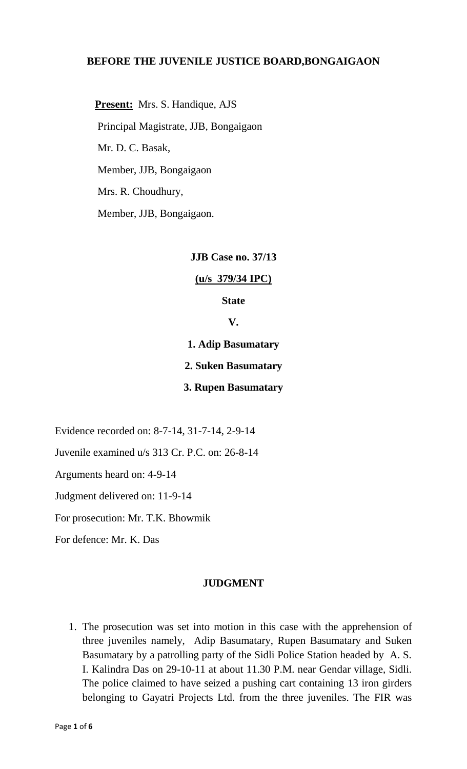### **BEFORE THE JUVENILE JUSTICE BOARD,BONGAIGAON**

 **Present:** Mrs. S. Handique, AJS Principal Magistrate, JJB, Bongaigaon Mr. D. C. Basak, Member, JJB, Bongaigaon Mrs. R. Choudhury, Member, JJB, Bongaigaon.

**JJB Case no. 37/13**

**(u/s 379/34 IPC)**

**State**

**V.**

**1. Adip Basumatary**

**2. Suken Basumatary**

**3. Rupen Basumatary**

Evidence recorded on: 8-7-14, 31-7-14, 2-9-14

Juvenile examined u/s 313 Cr. P.C. on: 26-8-14

Arguments heard on: 4-9-14

Judgment delivered on: 11-9-14

For prosecution: Mr. T.K. Bhowmik

For defence: Mr. K. Das

#### **JUDGMENT**

1. The prosecution was set into motion in this case with the apprehension of three juveniles namely, Adip Basumatary, Rupen Basumatary and Suken Basumatary by a patrolling party of the Sidli Police Station headed by A. S. I. Kalindra Das on 29-10-11 at about 11.30 P.M. near Gendar village, Sidli. The police claimed to have seized a pushing cart containing 13 iron girders belonging to Gayatri Projects Ltd. from the three juveniles. The FIR was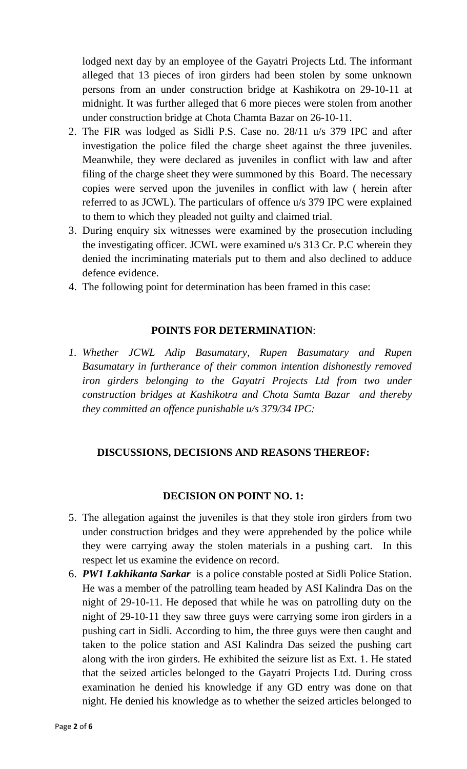lodged next day by an employee of the Gayatri Projects Ltd. The informant alleged that 13 pieces of iron girders had been stolen by some unknown persons from an under construction bridge at Kashikotra on 29-10-11 at midnight. It was further alleged that 6 more pieces were stolen from another under construction bridge at Chota Chamta Bazar on 26-10-11.

- 2. The FIR was lodged as Sidli P.S. Case no. 28/11 u/s 379 IPC and after investigation the police filed the charge sheet against the three juveniles. Meanwhile, they were declared as juveniles in conflict with law and after filing of the charge sheet they were summoned by this Board. The necessary copies were served upon the juveniles in conflict with law ( herein after referred to as JCWL). The particulars of offence u/s 379 IPC were explained to them to which they pleaded not guilty and claimed trial.
- 3. During enquiry six witnesses were examined by the prosecution including the investigating officer. JCWL were examined u/s 313 Cr. P.C wherein they denied the incriminating materials put to them and also declined to adduce defence evidence.
- 4. The following point for determination has been framed in this case:

# **POINTS FOR DETERMINATION**:

*1. Whether JCWL Adip Basumatary, Rupen Basumatary and Rupen Basumatary in furtherance of their common intention dishonestly removed*  iron girders belonging to the Gayatri Projects Ltd from two under *construction bridges at Kashikotra and Chota Samta Bazar and thereby they committed an offence punishable u/s 379/34 IPC:*

## **DISCUSSIONS, DECISIONS AND REASONS THEREOF:**

## **DECISION ON POINT NO. 1:**

- 5. The allegation against the juveniles is that they stole iron girders from two under construction bridges and they were apprehended by the police while they were carrying away the stolen materials in a pushing cart. In this respect let us examine the evidence on record.
- 6. *PW1 Lakhikanta Sarkar* is a police constable posted at Sidli Police Station. He was a member of the patrolling team headed by ASI Kalindra Das on the night of 29-10-11. He deposed that while he was on patrolling duty on the night of 29-10-11 they saw three guys were carrying some iron girders in a pushing cart in Sidli. According to him, the three guys were then caught and taken to the police station and ASI Kalindra Das seized the pushing cart along with the iron girders. He exhibited the seizure list as Ext. 1. He stated that the seized articles belonged to the Gayatri Projects Ltd. During cross examination he denied his knowledge if any GD entry was done on that night. He denied his knowledge as to whether the seized articles belonged to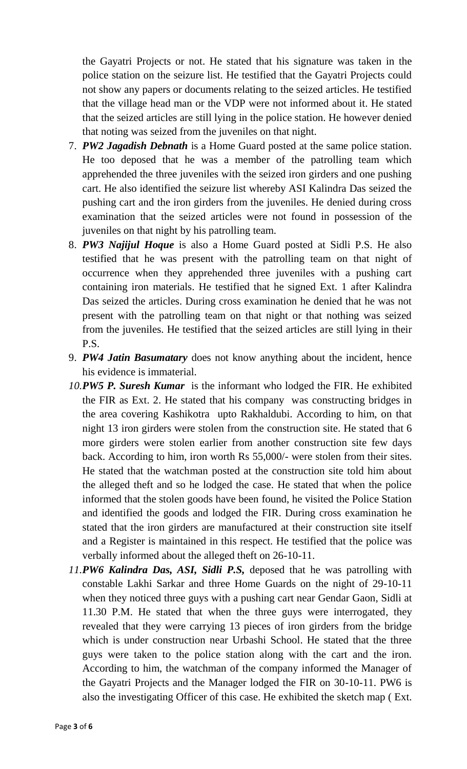the Gayatri Projects or not. He stated that his signature was taken in the police station on the seizure list. He testified that the Gayatri Projects could not show any papers or documents relating to the seized articles. He testified that the village head man or the VDP were not informed about it. He stated that the seized articles are still lying in the police station. He however denied that noting was seized from the juveniles on that night.

- 7. *PW2 Jagadish Debnath* is a Home Guard posted at the same police station. He too deposed that he was a member of the patrolling team which apprehended the three juveniles with the seized iron girders and one pushing cart. He also identified the seizure list whereby ASI Kalindra Das seized the pushing cart and the iron girders from the juveniles. He denied during cross examination that the seized articles were not found in possession of the juveniles on that night by his patrolling team.
- 8. *PW3 Najijul Hoque* is also a Home Guard posted at Sidli P.S. He also testified that he was present with the patrolling team on that night of occurrence when they apprehended three juveniles with a pushing cart containing iron materials. He testified that he signed Ext. 1 after Kalindra Das seized the articles. During cross examination he denied that he was not present with the patrolling team on that night or that nothing was seized from the juveniles. He testified that the seized articles are still lying in their P.S.
- 9. *PW4 Jatin Basumatary* does not know anything about the incident, hence his evidence is immaterial.
- *10.PW5 P. Suresh Kumar* is the informant who lodged the FIR. He exhibited the FIR as Ext. 2. He stated that his company was constructing bridges in the area covering Kashikotra upto Rakhaldubi. According to him, on that night 13 iron girders were stolen from the construction site. He stated that 6 more girders were stolen earlier from another construction site few days back. According to him, iron worth Rs 55,000/- were stolen from their sites. He stated that the watchman posted at the construction site told him about the alleged theft and so he lodged the case. He stated that when the police informed that the stolen goods have been found, he visited the Police Station and identified the goods and lodged the FIR. During cross examination he stated that the iron girders are manufactured at their construction site itself and a Register is maintained in this respect. He testified that the police was verbally informed about the alleged theft on 26-10-11.
- *11.PW6 Kalindra Das, ASI, Sidli P.S,* deposed that he was patrolling with constable Lakhi Sarkar and three Home Guards on the night of 29-10-11 when they noticed three guys with a pushing cart near Gendar Gaon, Sidli at 11.30 P.M. He stated that when the three guys were interrogated, they revealed that they were carrying 13 pieces of iron girders from the bridge which is under construction near Urbashi School. He stated that the three guys were taken to the police station along with the cart and the iron. According to him, the watchman of the company informed the Manager of the Gayatri Projects and the Manager lodged the FIR on 30-10-11. PW6 is also the investigating Officer of this case. He exhibited the sketch map ( Ext.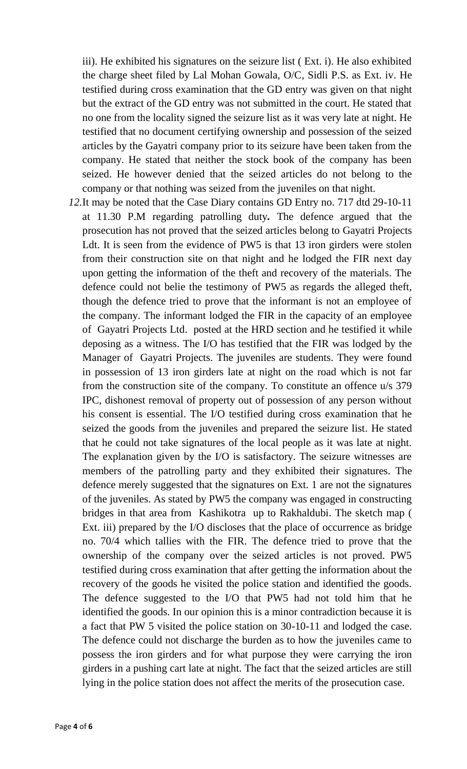iii). He exhibited his signatures on the seizure list ( Ext. i). He also exhibited the charge sheet filed by Lal Mohan Gowala, O/C, Sidli P.S. as Ext. iv. He testified during cross examination that the GD entry was given on that night but the extract of the GD entry was not submitted in the court. He stated that no one from the locality signed the seizure list as it was very late at night. He testified that no document certifying ownership and possession of the seized articles by the Gayatri company prior to its seizure have been taken from the company. He stated that neither the stock book of the company has been seized. He however denied that the seized articles do not belong to the company or that nothing was seized from the juveniles on that night.

*12.*It may be noted that the Case Diary contains GD Entry no. 717 dtd 29-10-11 at 11.30 P.M regarding patrolling duty*.* The defence argued that the prosecution has not proved that the seized articles belong to Gayatri Projects Ldt. It is seen from the evidence of PW5 is that 13 iron girders were stolen from their construction site on that night and he lodged the FIR next day upon getting the information of the theft and recovery of the materials. The defence could not belie the testimony of PW5 as regards the alleged theft, though the defence tried to prove that the informant is not an employee of the company. The informant lodged the FIR in the capacity of an employee of Gayatri Projects Ltd. posted at the HRD section and he testified it while deposing as a witness. The I/O has testified that the FIR was lodged by the Manager of Gayatri Projects. The juveniles are students. They were found in possession of 13 iron girders late at night on the road which is not far from the construction site of the company. To constitute an offence u/s 379 IPC, dishonest removal of property out of possession of any person without his consent is essential. The I/O testified during cross examination that he seized the goods from the juveniles and prepared the seizure list. He stated that he could not take signatures of the local people as it was late at night. The explanation given by the I/O is satisfactory. The seizure witnesses are members of the patrolling party and they exhibited their signatures. The defence merely suggested that the signatures on Ext. 1 are not the signatures of the juveniles. As stated by PW5 the company was engaged in constructing bridges in that area from Kashikotra up to Rakhaldubi. The sketch map ( Ext. iii) prepared by the I/O discloses that the place of occurrence as bridge no. 70/4 which tallies with the FIR. The defence tried to prove that the ownership of the company over the seized articles is not proved. PW5 testified during cross examination that after getting the information about the recovery of the goods he visited the police station and identified the goods. The defence suggested to the I/O that PW5 had not told him that he identified the goods. In our opinion this is a minor contradiction because it is a fact that PW 5 visited the police station on 30-10-11 and lodged the case. The defence could not discharge the burden as to how the juveniles came to possess the iron girders and for what purpose they were carrying the iron girders in a pushing cart late at night. The fact that the seized articles are still lying in the police station does not affect the merits of the prosecution case.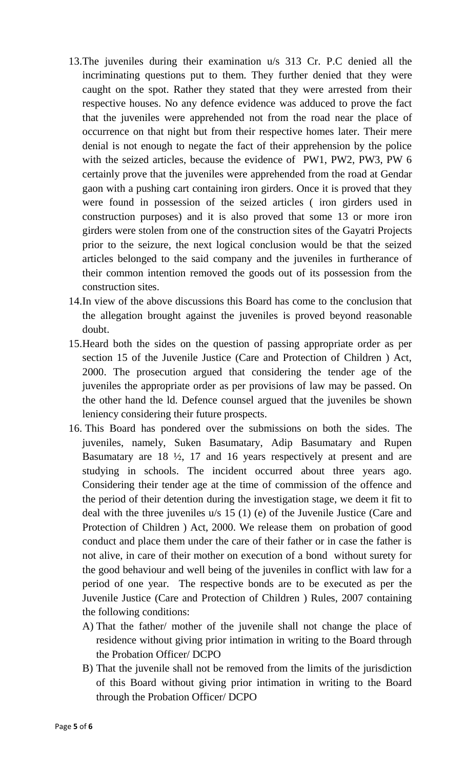- 13.The juveniles during their examination u/s 313 Cr. P.C denied all the incriminating questions put to them. They further denied that they were caught on the spot. Rather they stated that they were arrested from their respective houses. No any defence evidence was adduced to prove the fact that the juveniles were apprehended not from the road near the place of occurrence on that night but from their respective homes later. Their mere denial is not enough to negate the fact of their apprehension by the police with the seized articles, because the evidence of PW1, PW2, PW3, PW 6 certainly prove that the juveniles were apprehended from the road at Gendar gaon with a pushing cart containing iron girders. Once it is proved that they were found in possession of the seized articles ( iron girders used in construction purposes) and it is also proved that some 13 or more iron girders were stolen from one of the construction sites of the Gayatri Projects prior to the seizure, the next logical conclusion would be that the seized articles belonged to the said company and the juveniles in furtherance of their common intention removed the goods out of its possession from the construction sites.
- 14.In view of the above discussions this Board has come to the conclusion that the allegation brought against the juveniles is proved beyond reasonable doubt.
- 15.Heard both the sides on the question of passing appropriate order as per section 15 of the Juvenile Justice (Care and Protection of Children ) Act, 2000. The prosecution argued that considering the tender age of the juveniles the appropriate order as per provisions of law may be passed. On the other hand the ld. Defence counsel argued that the juveniles be shown leniency considering their future prospects.
- 16. This Board has pondered over the submissions on both the sides. The juveniles, namely, Suken Basumatary, Adip Basumatary and Rupen Basumatary are 18 ½, 17 and 16 years respectively at present and are studying in schools. The incident occurred about three years ago. Considering their tender age at the time of commission of the offence and the period of their detention during the investigation stage, we deem it fit to deal with the three juveniles u/s 15 (1) (e) of the Juvenile Justice (Care and Protection of Children ) Act, 2000. We release them on probation of good conduct and place them under the care of their father or in case the father is not alive, in care of their mother on execution of a bond without surety for the good behaviour and well being of the juveniles in conflict with law for a period of one year. The respective bonds are to be executed as per the Juvenile Justice (Care and Protection of Children ) Rules, 2007 containing the following conditions:
	- A) That the father/ mother of the juvenile shall not change the place of residence without giving prior intimation in writing to the Board through the Probation Officer/ DCPO
	- B) That the juvenile shall not be removed from the limits of the jurisdiction of this Board without giving prior intimation in writing to the Board through the Probation Officer/ DCPO